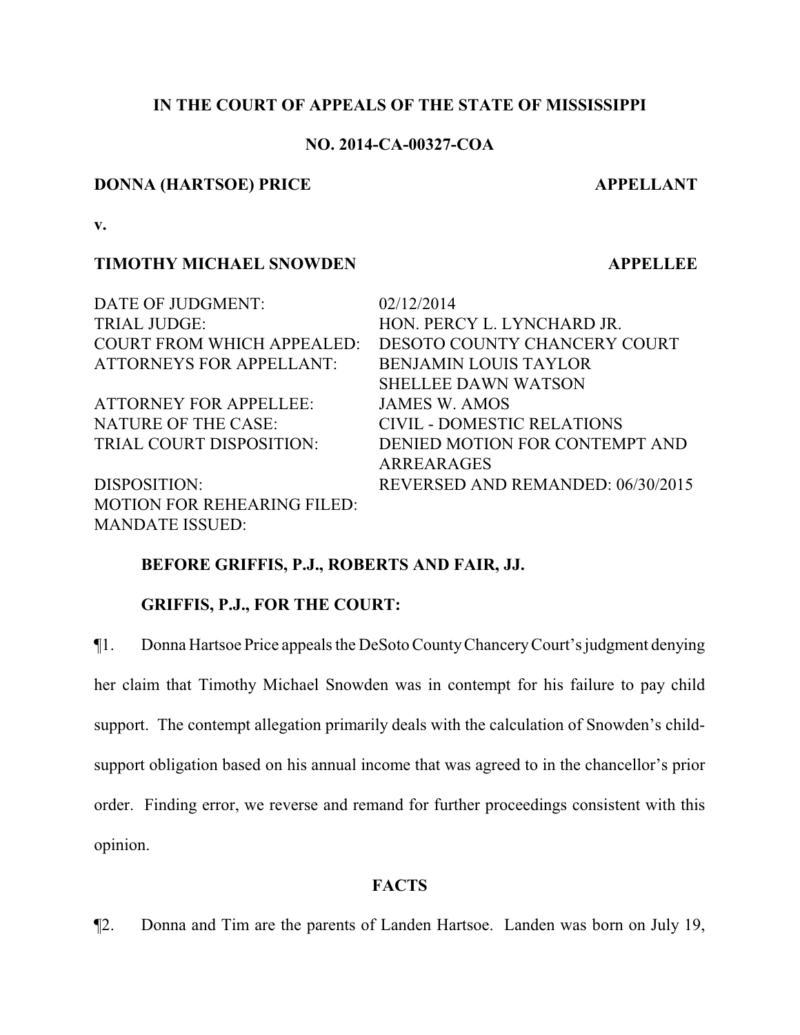## **IN THE COURT OF APPEALS OF THE STATE OF MISSISSIPPI**

### **NO. 2014-CA-00327-COA**

#### **DONNA (HARTSOE) PRICE APPELLANT**

**v.**

### **TIMOTHY MICHAEL SNOWDEN APPELLEE**

DATE OF JUDGMENT: 02/12/2014 TRIAL JUDGE: HON. PERCY L. LYNCHARD JR. COURT FROM WHICH APPEALED: DESOTO COUNTY CHANCERY COURT ATTORNEYS FOR APPELLANT: BENJAMIN LOUIS TAYLOR SHELLEE DAWN WATSON ATTORNEY FOR APPELLEE: JAMES W. AMOS NATURE OF THE CASE: CIVIL - DOMESTIC RELATIONS TRIAL COURT DISPOSITION: DENIED MOTION FOR CONTEMPT AND ARREARAGES DISPOSITION: REVERSED AND REMANDED: 06/30/2015 MOTION FOR REHEARING FILED: MANDATE ISSUED:

## **BEFORE GRIFFIS, P.J., ROBERTS AND FAIR, JJ.**

### **GRIFFIS, P.J., FOR THE COURT:**

¶1. Donna Hartsoe Price appeals the DeSoto CountyChanceryCourt's judgment denying her claim that Timothy Michael Snowden was in contempt for his failure to pay child support. The contempt allegation primarily deals with the calculation of Snowden's childsupport obligation based on his annual income that was agreed to in the chancellor's prior order. Finding error, we reverse and remand for further proceedings consistent with this opinion.

### **FACTS**

¶2. Donna and Tim are the parents of Landen Hartsoe. Landen was born on July 19,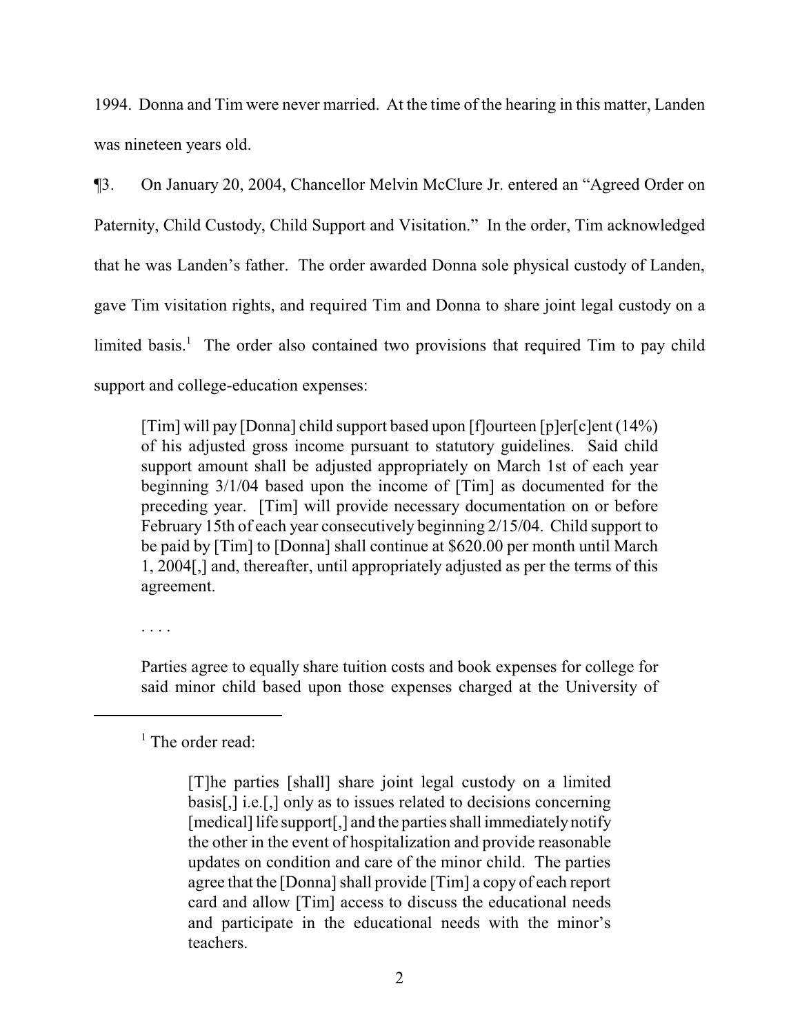1994. Donna and Tim were never married. At the time of the hearing in this matter, Landen was nineteen years old.

¶3. On January 20, 2004, Chancellor Melvin McClure Jr. entered an "Agreed Order on Paternity, Child Custody, Child Support and Visitation." In the order, Tim acknowledged that he was Landen's father. The order awarded Donna sole physical custody of Landen, gave Tim visitation rights, and required Tim and Donna to share joint legal custody on a limited basis.<sup>1</sup> The order also contained two provisions that required Tim to pay child support and college-education expenses:

[Tim] will pay [Donna] child support based upon [f]ourteen [p]er[c]ent (14%) of his adjusted gross income pursuant to statutory guidelines. Said child support amount shall be adjusted appropriately on March 1st of each year beginning 3/1/04 based upon the income of [Tim] as documented for the preceding year. [Tim] will provide necessary documentation on or before February 15th of each year consecutively beginning 2/15/04. Child support to be paid by [Tim] to [Donna] shall continue at \$620.00 per month until March 1, 2004[,] and, thereafter, until appropriately adjusted as per the terms of this agreement.

. . . .

Parties agree to equally share tuition costs and book expenses for college for said minor child based upon those expenses charged at the University of

<sup>&</sup>lt;sup>1</sup> The order read:

<sup>[</sup>T]he parties [shall] share joint legal custody on a limited basis[,] i.e.[,] only as to issues related to decisions concerning [medical] life support[,] and the parties shall immediately notify the other in the event of hospitalization and provide reasonable updates on condition and care of the minor child. The parties agree that the [Donna] shall provide [Tim] a copy of each report card and allow [Tim] access to discuss the educational needs and participate in the educational needs with the minor's teachers.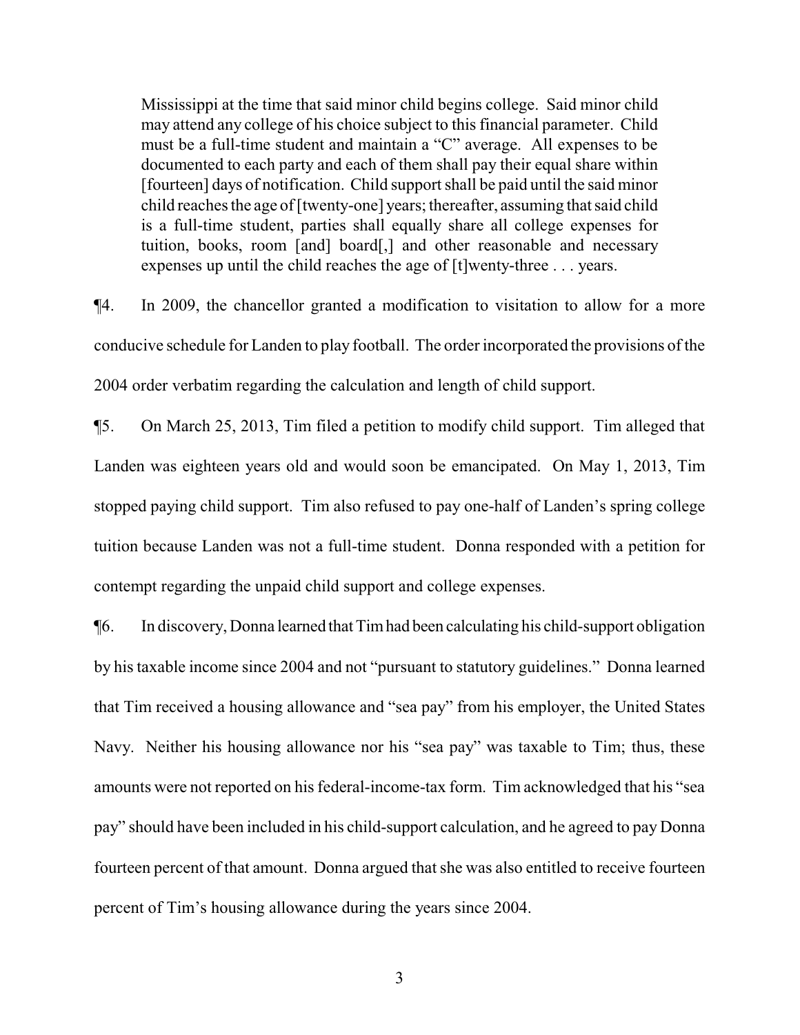Mississippi at the time that said minor child begins college. Said minor child may attend any college of his choice subject to this financial parameter. Child must be a full-time student and maintain a "C" average. All expenses to be documented to each party and each of them shall pay their equal share within [fourteen] days of notification. Child support shall be paid until the said minor child reaches the age of [twenty-one] years; thereafter, assuming that said child is a full-time student, parties shall equally share all college expenses for tuition, books, room [and] board[,] and other reasonable and necessary expenses up until the child reaches the age of [t]wenty-three . . . years.

¶4. In 2009, the chancellor granted a modification to visitation to allow for a more conducive schedule for Landen to play football. The order incorporated the provisions of the 2004 order verbatim regarding the calculation and length of child support.

¶5. On March 25, 2013, Tim filed a petition to modify child support. Tim alleged that Landen was eighteen years old and would soon be emancipated. On May 1, 2013, Tim stopped paying child support. Tim also refused to pay one-half of Landen's spring college tuition because Landen was not a full-time student. Donna responded with a petition for contempt regarding the unpaid child support and college expenses.

¶6. In discovery, Donna learned thatTimhad been calculating his child-support obligation by his taxable income since 2004 and not "pursuant to statutory guidelines." Donna learned that Tim received a housing allowance and "sea pay" from his employer, the United States Navy. Neither his housing allowance nor his "sea pay" was taxable to Tim; thus, these amounts were not reported on his federal-income-tax form. Tim acknowledged that his "sea pay" should have been included in his child-support calculation, and he agreed to pay Donna fourteen percent of that amount. Donna argued that she was also entitled to receive fourteen percent of Tim's housing allowance during the years since 2004.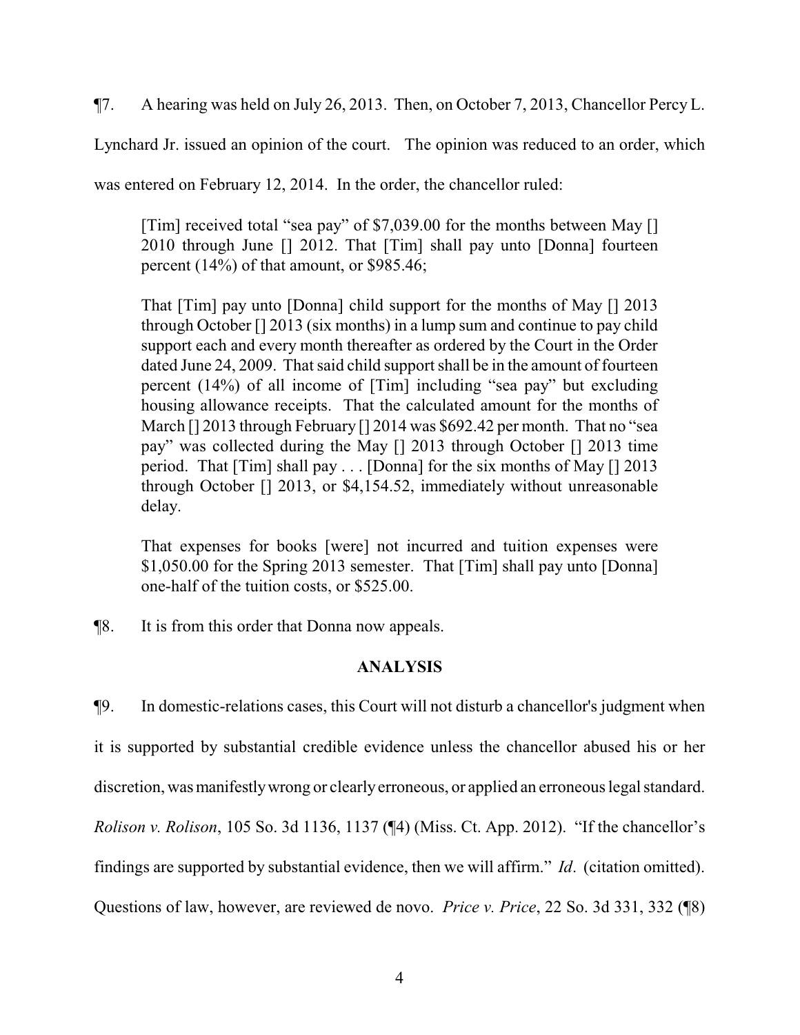¶7. A hearing was held on July 26, 2013. Then, on October 7, 2013, Chancellor Percy L.

Lynchard Jr. issued an opinion of the court. The opinion was reduced to an order, which

was entered on February 12, 2014. In the order, the chancellor ruled:

[Tim] received total "sea pay" of \$7,039.00 for the months between May [] 2010 through June [] 2012. That [Tim] shall pay unto [Donna] fourteen percent (14%) of that amount, or \$985.46;

That [Tim] pay unto [Donna] child support for the months of May [] 2013 through October [] 2013 (six months) in a lump sum and continue to pay child support each and every month thereafter as ordered by the Court in the Order dated June 24, 2009. That said child support shall be in the amount of fourteen percent (14%) of all income of [Tim] including "sea pay" but excluding housing allowance receipts. That the calculated amount for the months of March [] 2013 through February [] 2014 was \$692.42 per month. That no "sea pay" was collected during the May [] 2013 through October [] 2013 time period. That [Tim] shall pay . . . [Donna] for the six months of May [] 2013 through October [] 2013, or \$4,154.52, immediately without unreasonable delay.

That expenses for books [were] not incurred and tuition expenses were \$1,050.00 for the Spring 2013 semester. That [Tim] shall pay unto [Donna] one-half of the tuition costs, or \$525.00.

¶8. It is from this order that Donna now appeals.

### **ANALYSIS**

¶9. In domestic-relations cases, this Court will not disturb a chancellor's judgment when it is supported by substantial credible evidence unless the chancellor abused his or her discretion, was manifestly wrong or clearly erroneous, or applied an erroneous legal standard. *Rolison v. Rolison*, 105 So. 3d 1136, 1137 (¶4) (Miss. Ct. App. 2012). "If the chancellor's findings are supported by substantial evidence, then we will affirm." *Id*. (citation omitted). Questions of law, however, are reviewed de novo. *Price v. Price*, 22 So. 3d 331, 332 (¶8)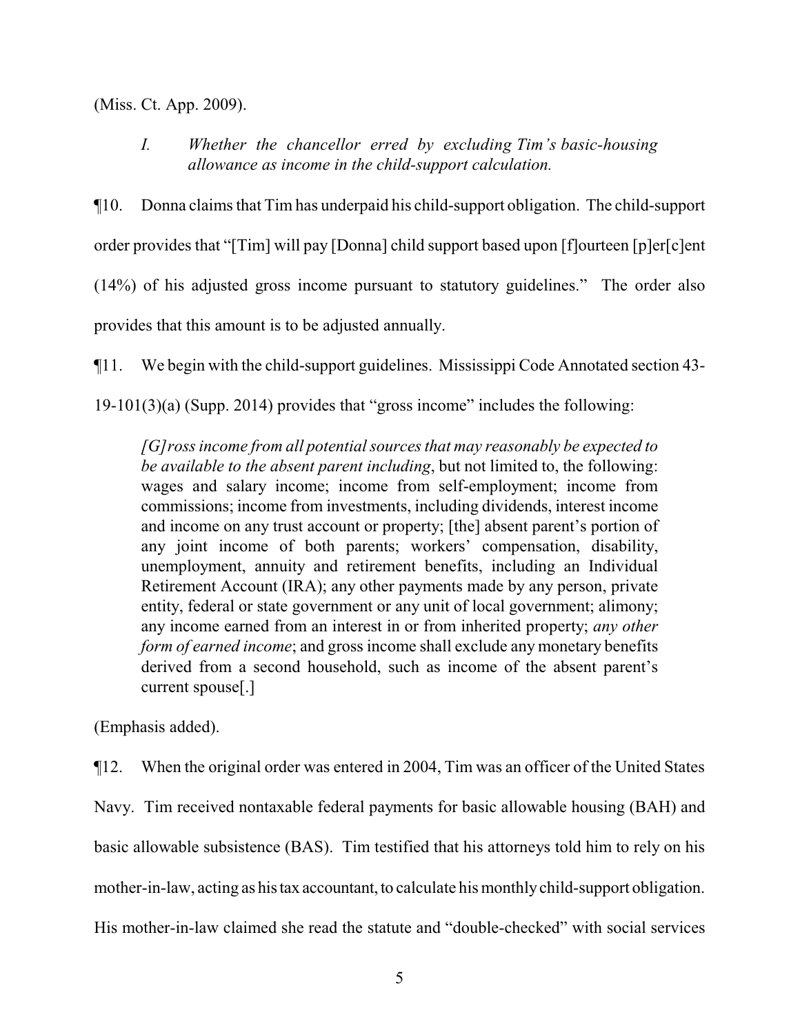(Miss. Ct. App. 2009).

*I. Whether the chancellor erred by excluding Tim's basic-housing allowance as income in the child-support calculation.* 

¶10. Donna claims that Tim has underpaid his child-support obligation. The child-support order provides that "[Tim] will pay [Donna] child support based upon [f]ourteen [p]er[c]ent (14%) of his adjusted gross income pursuant to statutory guidelines." The order also provides that this amount is to be adjusted annually.

¶11. We begin with the child-support guidelines. Mississippi Code Annotated section 43-

19-101(3)(a) (Supp. 2014) provides that "gross income" includes the following:

*[G]ross income from all potential sources that may reasonably be expected to be available to the absent parent including*, but not limited to, the following: wages and salary income; income from self-employment; income from commissions; income from investments, including dividends, interest income and income on any trust account or property; [the] absent parent's portion of any joint income of both parents; workers' compensation, disability, unemployment, annuity and retirement benefits, including an Individual Retirement Account (IRA); any other payments made by any person, private entity, federal or state government or any unit of local government; alimony; any income earned from an interest in or from inherited property; *any other form of earned income*; and gross income shall exclude any monetary benefits derived from a second household, such as income of the absent parent's current spouse[.]

(Emphasis added).

¶12. When the original order was entered in 2004, Tim was an officer of the United States Navy. Tim received nontaxable federal payments for basic allowable housing (BAH) and basic allowable subsistence (BAS). Tim testified that his attorneys told him to rely on his mother-in-law, acting as histax accountant, to calculate his monthly child-support obligation. His mother-in-law claimed she read the statute and "double-checked" with social services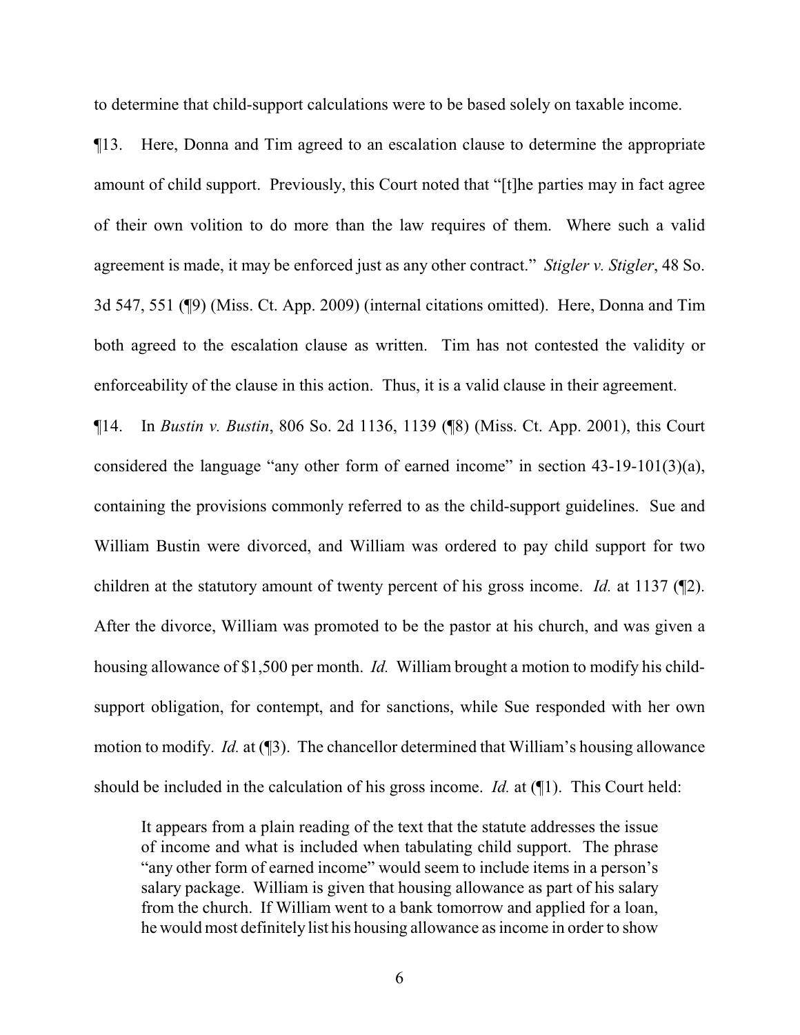to determine that child-support calculations were to be based solely on taxable income.

¶13. Here, Donna and Tim agreed to an escalation clause to determine the appropriate amount of child support. Previously, this Court noted that "[t]he parties may in fact agree of their own volition to do more than the law requires of them. Where such a valid agreement is made, it may be enforced just as any other contract." *Stigler v. Stigler*, 48 So. 3d 547, 551 (¶9) (Miss. Ct. App. 2009) (internal citations omitted). Here, Donna and Tim both agreed to the escalation clause as written. Tim has not contested the validity or enforceability of the clause in this action. Thus, it is a valid clause in their agreement.

¶14. In *Bustin v. Bustin*, 806 So. 2d 1136, 1139 (¶8) (Miss. Ct. App. 2001), this Court considered the language "any other form of earned income" in section 43-19-101(3)(a), containing the provisions commonly referred to as the child-support guidelines. Sue and William Bustin were divorced, and William was ordered to pay child support for two children at the statutory amount of twenty percent of his gross income. *Id.* at 1137 (¶2). After the divorce, William was promoted to be the pastor at his church, and was given a housing allowance of \$1,500 per month. *Id.* William brought a motion to modify his childsupport obligation, for contempt, and for sanctions, while Sue responded with her own motion to modify. *Id.* at (¶3). The chancellor determined that William's housing allowance should be included in the calculation of his gross income. *Id.* at (¶1). This Court held:

It appears from a plain reading of the text that the statute addresses the issue of income and what is included when tabulating child support. The phrase "any other form of earned income" would seem to include items in a person's salary package. William is given that housing allowance as part of his salary from the church. If William went to a bank tomorrow and applied for a loan, he would most definitely list his housing allowance as income in order to show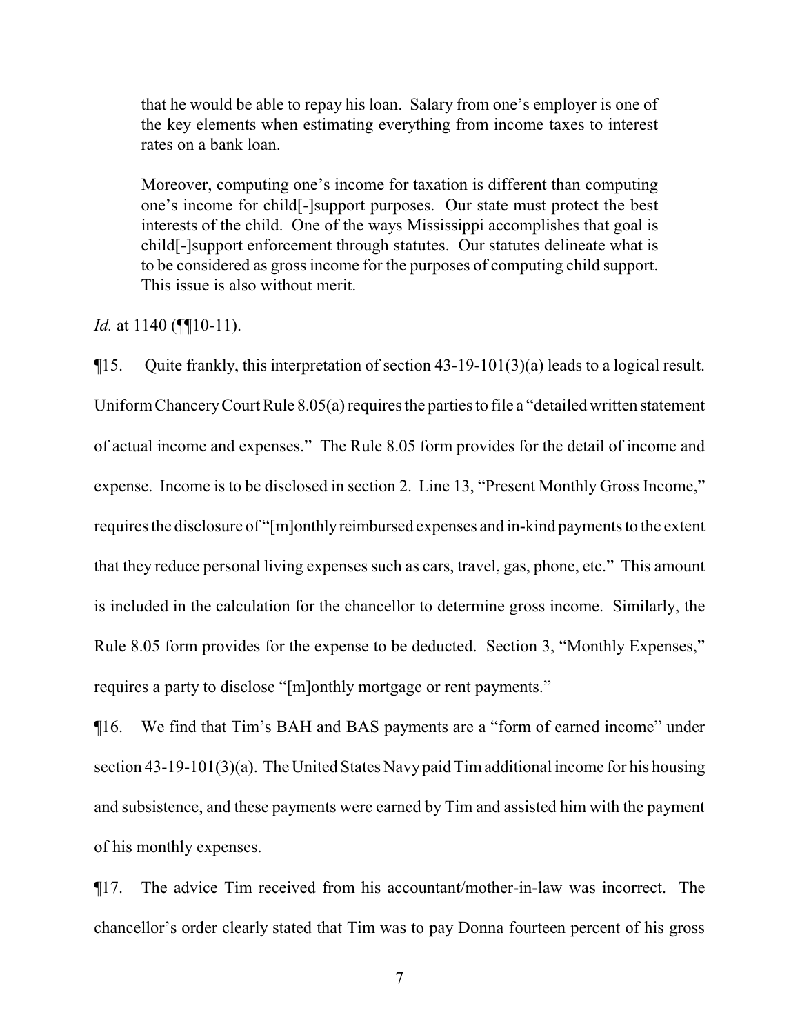that he would be able to repay his loan. Salary from one's employer is one of the key elements when estimating everything from income taxes to interest rates on a bank loan.

Moreover, computing one's income for taxation is different than computing one's income for child[-]support purposes. Our state must protect the best interests of the child. One of the ways Mississippi accomplishes that goal is child[-]support enforcement through statutes. Our statutes delineate what is to be considered as gross income for the purposes of computing child support. This issue is also without merit.

*Id.* at 1140 (¶[10-11).

¶15. Quite frankly, this interpretation of section 43-19-101(3)(a) leads to a logical result. UniformChanceryCourt Rule 8.05(a) requires the parties to file a "detailed written statement of actual income and expenses." The Rule 8.05 form provides for the detail of income and expense. Income is to be disclosed in section 2. Line 13, "Present Monthly Gross Income," requires the disclosure of "[m]onthlyreimbursed expenses and in-kind payments to the extent that they reduce personal living expenses such as cars, travel, gas, phone, etc." This amount is included in the calculation for the chancellor to determine gross income. Similarly, the Rule 8.05 form provides for the expense to be deducted. Section 3, "Monthly Expenses," requires a party to disclose "[m]onthly mortgage or rent payments."

¶16. We find that Tim's BAH and BAS payments are a "form of earned income" under section 43-19-101(3)(a). The United States Navypaid Timadditional income for his housing and subsistence, and these payments were earned by Tim and assisted him with the payment of his monthly expenses.

¶17. The advice Tim received from his accountant/mother-in-law was incorrect. The chancellor's order clearly stated that Tim was to pay Donna fourteen percent of his gross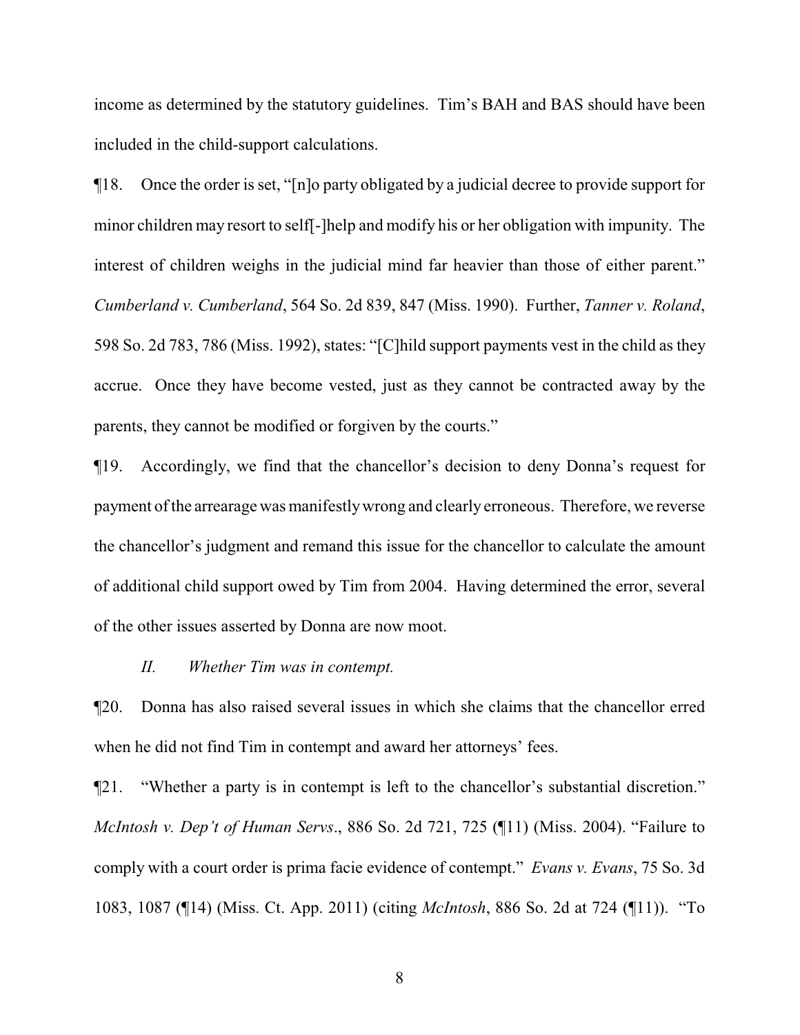income as determined by the statutory guidelines. Tim's BAH and BAS should have been included in the child-support calculations.

¶18. Once the order is set, "[n]o party obligated by a judicial decree to provide support for minor children may resort to self[-]help and modify his or her obligation with impunity. The interest of children weighs in the judicial mind far heavier than those of either parent." *Cumberland v. Cumberland*, 564 So. 2d 839, 847 (Miss. 1990). Further, *Tanner v. Roland*, 598 So. 2d 783, 786 (Miss. 1992), states: "[C]hild support payments vest in the child as they accrue. Once they have become vested, just as they cannot be contracted away by the parents, they cannot be modified or forgiven by the courts."

¶19. Accordingly, we find that the chancellor's decision to deny Donna's request for payment ofthe arrearage was manifestlywrong and clearly erroneous. Therefore, we reverse the chancellor's judgment and remand this issue for the chancellor to calculate the amount of additional child support owed by Tim from 2004. Having determined the error, several of the other issues asserted by Donna are now moot.

#### *II. Whether Tim was in contempt.*

¶20. Donna has also raised several issues in which she claims that the chancellor erred when he did not find Tim in contempt and award her attorneys' fees.

¶21. "Whether a party is in contempt is left to the chancellor's substantial discretion." *McIntosh v. Dep't of Human Servs*., 886 So. 2d 721, 725 (¶11) (Miss. 2004). "Failure to comply with a court order is prima facie evidence of contempt." *Evans v. Evans*, 75 So. 3d 1083, 1087 (¶14) (Miss. Ct. App. 2011) (citing *McIntosh*, 886 So. 2d at 724 (¶11)). "To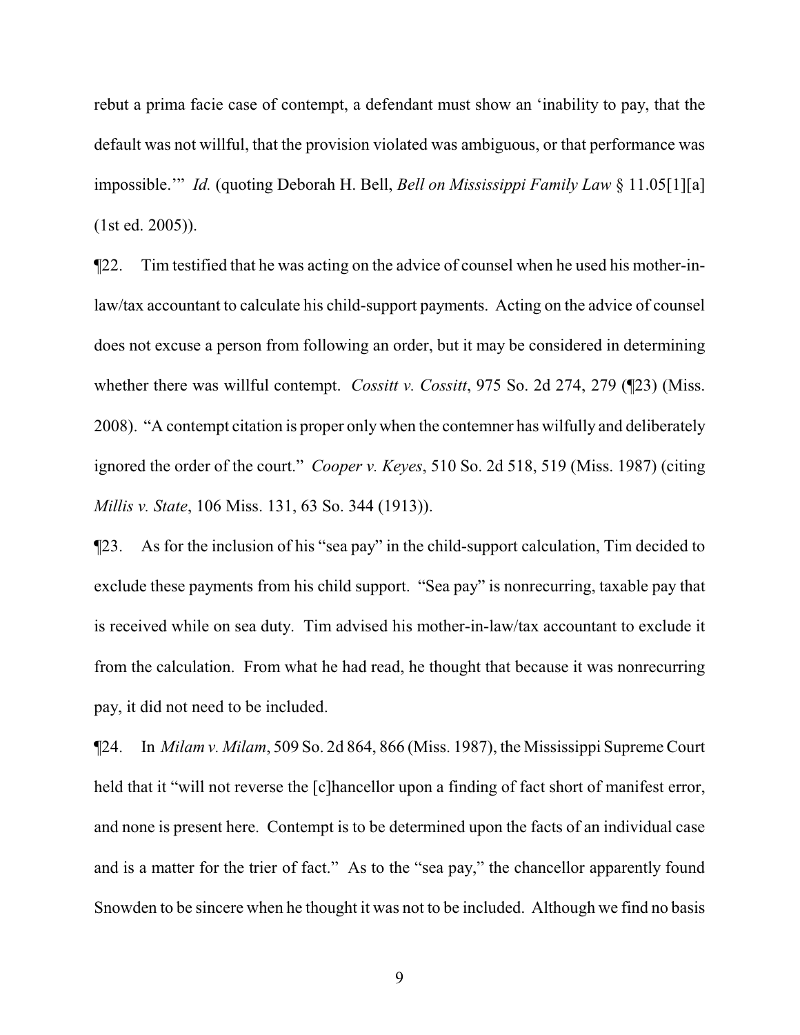rebut a prima facie case of contempt, a defendant must show an 'inability to pay, that the default was not willful, that the provision violated was ambiguous, or that performance was impossible.'" *Id.* (quoting Deborah H. Bell, *Bell on Mississippi Family Law* § 11.05[1][a] (1st ed. 2005)).

¶22. Tim testified that he was acting on the advice of counsel when he used his mother-inlaw/tax accountant to calculate his child-support payments. Acting on the advice of counsel does not excuse a person from following an order, but it may be considered in determining whether there was willful contempt. *Cossitt v. Cossitt*, 975 So. 2d 274, 279 (¶23) (Miss. 2008). "A contempt citation is proper onlywhen the contemner has wilfully and deliberately ignored the order of the court." *Cooper v. Keyes*, 510 So. 2d 518, 519 (Miss. 1987) (citing *Millis v. State*, 106 Miss. 131, 63 So. 344 (1913)).

¶23. As for the inclusion of his "sea pay" in the child-support calculation, Tim decided to exclude these payments from his child support. "Sea pay" is nonrecurring, taxable pay that is received while on sea duty. Tim advised his mother-in-law/tax accountant to exclude it from the calculation. From what he had read, he thought that because it was nonrecurring pay, it did not need to be included.

¶24. In *Milam v. Milam*, 509 So. 2d 864, 866 (Miss. 1987), the Mississippi Supreme Court held that it "will not reverse the [c]hancellor upon a finding of fact short of manifest error, and none is present here. Contempt is to be determined upon the facts of an individual case and is a matter for the trier of fact." As to the "sea pay," the chancellor apparently found Snowden to be sincere when he thought it was not to be included. Although we find no basis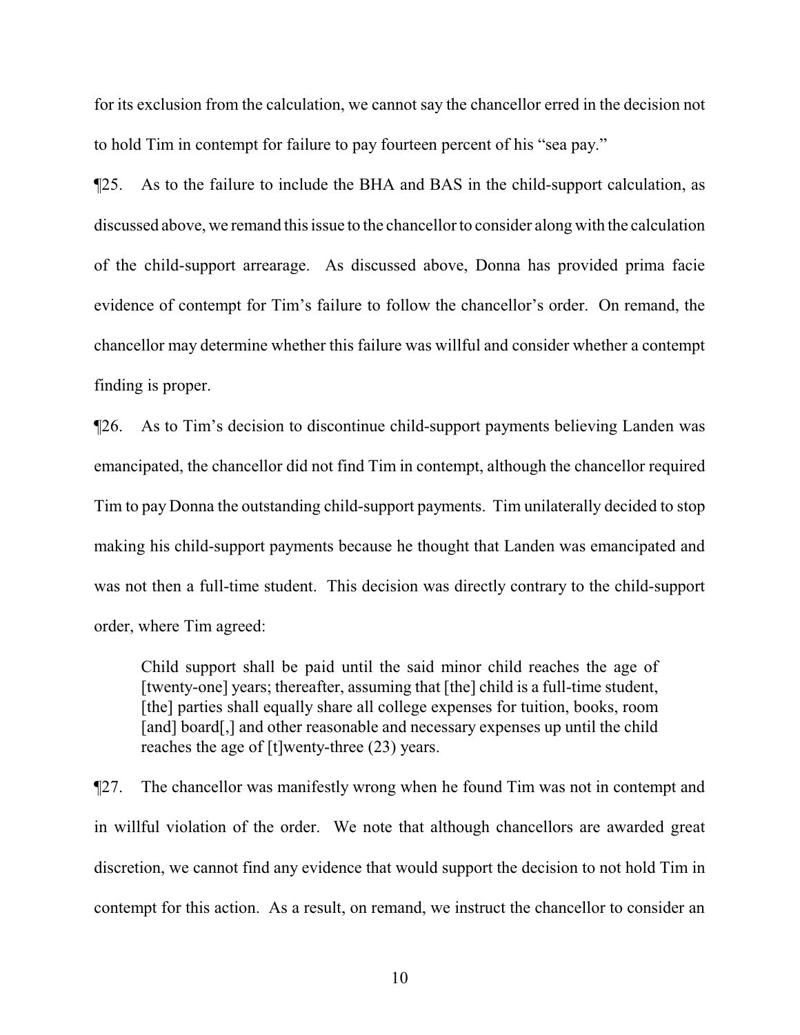for its exclusion from the calculation, we cannot say the chancellor erred in the decision not to hold Tim in contempt for failure to pay fourteen percent of his "sea pay."

¶25. As to the failure to include the BHA and BAS in the child-support calculation, as discussed above, we remand this issue to the chancellor to consider along with the calculation of the child-support arrearage. As discussed above, Donna has provided prima facie evidence of contempt for Tim's failure to follow the chancellor's order. On remand, the chancellor may determine whether this failure was willful and consider whether a contempt finding is proper.

¶26. As to Tim's decision to discontinue child-support payments believing Landen was emancipated, the chancellor did not find Tim in contempt, although the chancellor required Tim to pay Donna the outstanding child-support payments. Tim unilaterally decided to stop making his child-support payments because he thought that Landen was emancipated and was not then a full-time student. This decision was directly contrary to the child-support order, where Tim agreed:

Child support shall be paid until the said minor child reaches the age of [twenty-one] years; thereafter, assuming that [the] child is a full-time student, [the] parties shall equally share all college expenses for tuition, books, room [and] board[,] and other reasonable and necessary expenses up until the child reaches the age of [t]wenty-three (23) years.

¶27. The chancellor was manifestly wrong when he found Tim was not in contempt and in willful violation of the order. We note that although chancellors are awarded great discretion, we cannot find any evidence that would support the decision to not hold Tim in contempt for this action. As a result, on remand, we instruct the chancellor to consider an